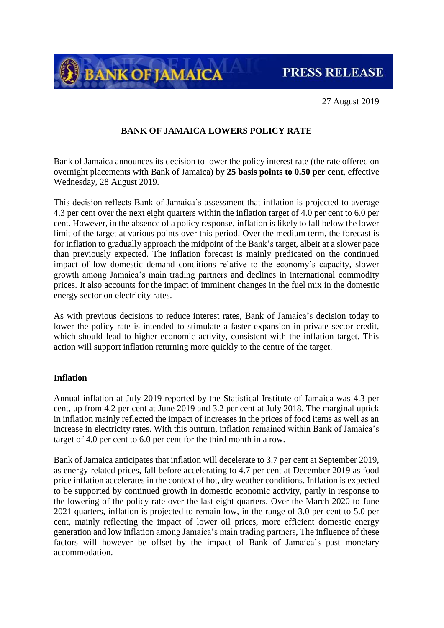PRESS RELEASE

27 August 2019

## **BANK OF JAMAICA LOWERS POLICY RATE**

**BANK OF JAMAICA** 

Bank of Jamaica announces its decision to lower the policy interest rate (the rate offered on overnight placements with Bank of Jamaica) by **25 basis points to 0.50 per cent**, effective Wednesday, 28 August 2019.

This decision reflects Bank of Jamaica's assessment that inflation is projected to average 4.3 per cent over the next eight quarters within the inflation target of 4.0 per cent to 6.0 per cent. However, in the absence of a policy response, inflation is likely to fall below the lower limit of the target at various points over this period. Over the medium term, the forecast is for inflation to gradually approach the midpoint of the Bank's target, albeit at a slower pace than previously expected. The inflation forecast is mainly predicated on the continued impact of low domestic demand conditions relative to the economy's capacity, slower growth among Jamaica's main trading partners and declines in international commodity prices. It also accounts for the impact of imminent changes in the fuel mix in the domestic energy sector on electricity rates.

As with previous decisions to reduce interest rates, Bank of Jamaica's decision today to lower the policy rate is intended to stimulate a faster expansion in private sector credit, which should lead to higher economic activity, consistent with the inflation target. This action will support inflation returning more quickly to the centre of the target.

## **Inflation**

Annual inflation at July 2019 reported by the Statistical Institute of Jamaica was 4.3 per cent, up from 4.2 per cent at June 2019 and 3.2 per cent at July 2018. The marginal uptick in inflation mainly reflected the impact of increases in the prices of food items as well as an increase in electricity rates. With this outturn, inflation remained within Bank of Jamaica's target of 4.0 per cent to 6.0 per cent for the third month in a row.

Bank of Jamaica anticipates that inflation will decelerate to 3.7 per cent at September 2019, as energy-related prices, fall before accelerating to 4.7 per cent at December 2019 as food price inflation accelerates in the context of hot, dry weather conditions. Inflation is expected to be supported by continued growth in domestic economic activity, partly in response to the lowering of the policy rate over the last eight quarters. Over the March 2020 to June 2021 quarters, inflation is projected to remain low, in the range of 3.0 per cent to 5.0 per cent, mainly reflecting the impact of lower oil prices, more efficient domestic energy generation and low inflation among Jamaica's main trading partners, The influence of these factors will however be offset by the impact of Bank of Jamaica's past monetary accommodation.